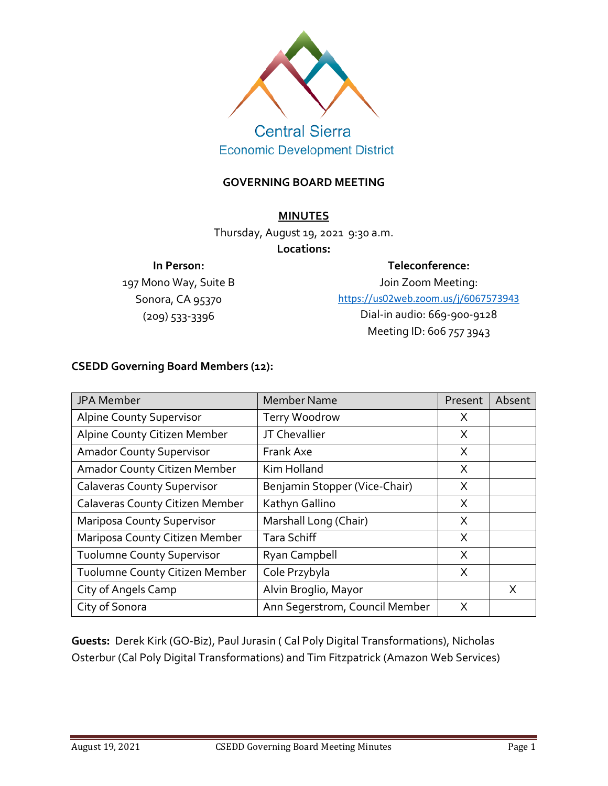

# **Central Sierra Economic Development District**

## **GOVERNING BOARD MEETING**

## **MINUTES**

Thursday, August 19, 2021 9:30 a.m.

#### **Locations:**

#### **In Person:**

197 Mono Way, Suite B Sonora, CA 95370 (209) 533-3396

**Teleconference:**

Join Zoom Meeting: <https://us02web.zoom.us/j/6067573943> Dial-in audio: 669-900-9128 Meeting ID: 606 757 3943

# **CSEDD Governing Board Members (12):**

| JPA Member                         | <b>Member Name</b>             | Present | Absent |
|------------------------------------|--------------------------------|---------|--------|
| <b>Alpine County Supervisor</b>    | Terry Woodrow                  | X       |        |
| Alpine County Citizen Member       | JT Chevallier                  | X       |        |
| <b>Amador County Supervisor</b>    | Frank Axe                      | X       |        |
| Amador County Citizen Member       | Kim Holland                    | X       |        |
| <b>Calaveras County Supervisor</b> | Benjamin Stopper (Vice-Chair)  | X       |        |
| Calaveras County Citizen Member    | Kathyn Gallino                 | X       |        |
| <b>Mariposa County Supervisor</b>  | Marshall Long (Chair)          | X       |        |
| Mariposa County Citizen Member     | <b>Tara Schiff</b>             | X       |        |
| <b>Tuolumne County Supervisor</b>  | Ryan Campbell                  | X       |        |
| Tuolumne County Citizen Member     | Cole Przybyla                  | X       |        |
| City of Angels Camp                | Alvin Broglio, Mayor           |         | X      |
| City of Sonora                     | Ann Segerstrom, Council Member | X       |        |

**Guests:** Derek Kirk (GO-Biz), Paul Jurasin ( Cal Poly Digital Transformations), Nicholas Osterbur (Cal Poly Digital Transformations) and Tim Fitzpatrick (Amazon Web Services)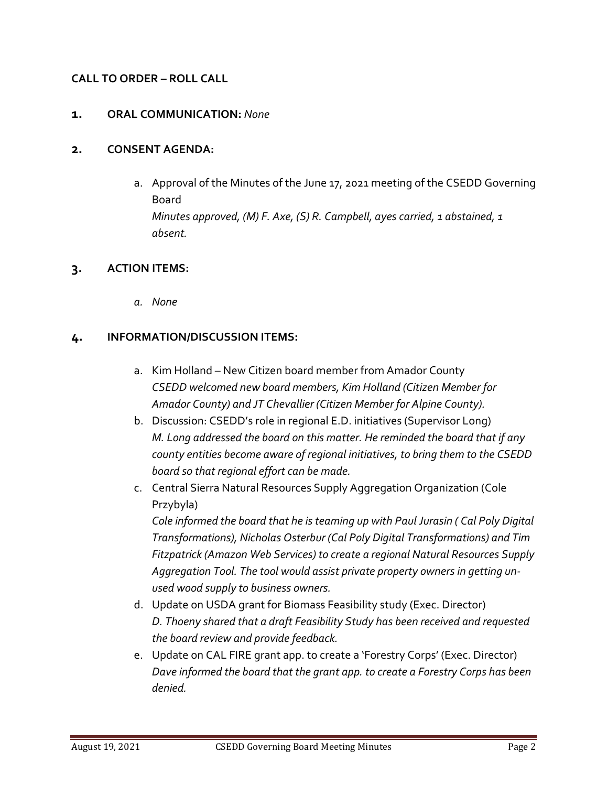## **CALL TO ORDER – ROLL CALL**

#### **1. ORAL COMMUNICATION:** *None*

#### **2. CONSENT AGENDA:**

a. Approval of the Minutes of the June 17, 2021 meeting of the CSEDD Governing Board *Minutes approved, (M) F. Axe, (S) R. Campbell, ayes carried, 1 abstained, 1 absent.*

#### **3. ACTION ITEMS:**

*a. None*

## **4. INFORMATION/DISCUSSION ITEMS:**

- a. Kim Holland New Citizen board member from Amador County *CSEDD welcomed new board members, Kim Holland (Citizen Member for Amador County) and JT Chevallier (Citizen Member for Alpine County).*
- b. Discussion: CSEDD's role in regional E.D. initiatives (Supervisor Long) *M. Long addressed the board on this matter. He reminded the board that if any county entities become aware of regional initiatives, to bring them to the CSEDD board so that regional effort can be made.*
- c. Central Sierra Natural Resources Supply Aggregation Organization (Cole Przybyla) *Cole informed the board that he is teaming up with Paul Jurasin ( Cal Poly Digital*

*Transformations), Nicholas Osterbur (Cal Poly Digital Transformations) and Tim Fitzpatrick (Amazon Web Services) to create a regional Natural Resources Supply Aggregation Tool. The tool would assist private property owners in getting unused wood supply to business owners.* 

- d. Update on USDA grant for Biomass Feasibility study (Exec. Director) *D. Thoeny shared that a draft Feasibility Study has been received and requested the board review and provide feedback.*
- e. Update on CAL FIRE grant app. to create a 'Forestry Corps' (Exec. Director) *Dave informed the board that the grant app. to create a Forestry Corps has been denied.*